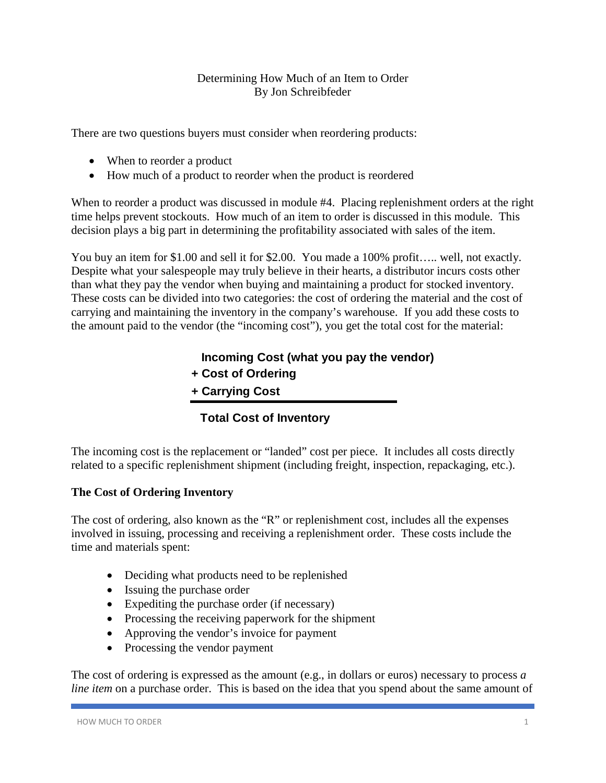#### Determining How Much of an Item to Order By Jon Schreibfeder

There are two questions buyers must consider when reordering products:

- When to reorder a product
- How much of a product to reorder when the product is reordered

When to reorder a product was discussed in module #4. Placing replenishment orders at the right time helps prevent stockouts. How much of an item to order is discussed in this module. This decision plays a big part in determining the profitability associated with sales of the item.

You buy an item for \$1.00 and sell it for \$2.00. You made a 100% profit..... well, not exactly. Despite what your salespeople may truly believe in their hearts, a distributor incurs costs other than what they pay the vendor when buying and maintaining a product for stocked inventory. These costs can be divided into two categories: the cost of ordering the material and the cost of carrying and maintaining the inventory in the company's warehouse. If you add these costs to the amount paid to the vendor (the "incoming cost"), you get the total cost for the material:

# **Incoming Cost (what you pay the vendor)**

- **+ Cost of Ordering**
- **+ Carrying Cost**

# **Total Cost of Inventory**

The incoming cost is the replacement or "landed" cost per piece. It includes all costs directly related to a specific replenishment shipment (including freight, inspection, repackaging, etc.).

# **The Cost of Ordering Inventory**

The cost of ordering, also known as the "R" or replenishment cost, includes all the expenses involved in issuing, processing and receiving a replenishment order. These costs include the time and materials spent:

- Deciding what products need to be replenished
- Issuing the purchase order
- Expediting the purchase order (if necessary)
- Processing the receiving paperwork for the shipment
- Approving the vendor's invoice for payment
- Processing the vendor payment

The cost of ordering is expressed as the amount (e.g., in dollars or euros) necessary to process *a line item* on a purchase order. This is based on the idea that you spend about the same amount of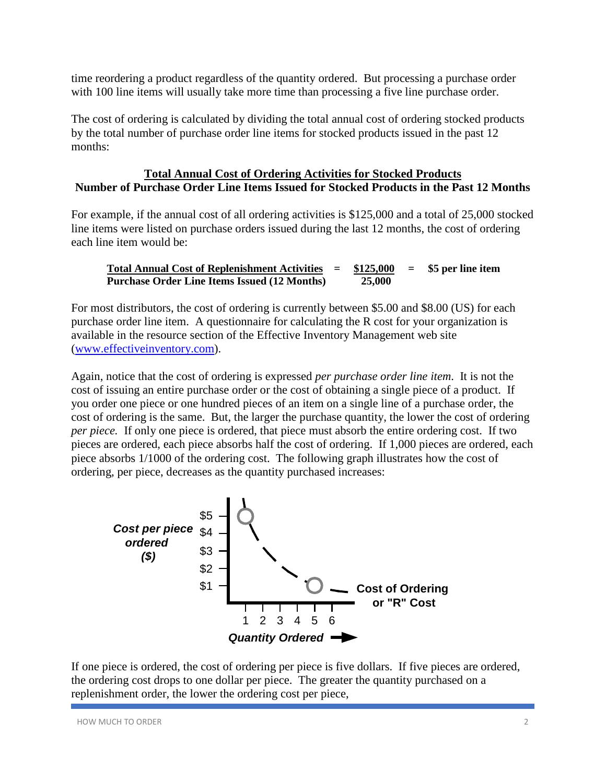time reordering a product regardless of the quantity ordered. But processing a purchase order with 100 line items will usually take more time than processing a five line purchase order.

The cost of ordering is calculated by dividing the total annual cost of ordering stocked products by the total number of purchase order line items for stocked products issued in the past 12 months:

#### **Total Annual Cost of Ordering Activities for Stocked Products Number of Purchase Order Line Items Issued for Stocked Products in the Past 12 Months**

For example, if the annual cost of all ordering activities is \$125,000 and a total of 25,000 stocked line items were listed on purchase orders issued during the last 12 months, the cost of ordering each line item would be:

**Total Annual Cost of Replenishment Activities = \$125,000 = \$5 per line item Purchase Order Line Items Issued (12 Months) 25,000**

For most distributors, the cost of ordering is currently between \$5.00 and \$8.00 (US) for each purchase order line item. A questionnaire for calculating the R cost for your organization is available in the resource section of the Effective Inventory Management web site [\(www.effectiveinventory.com\)](http://www.effectiveinventory.com/).

Again, notice that the cost of ordering is expressed *per purchase order line item*. It is not the cost of issuing an entire purchase order or the cost of obtaining a single piece of a product. If you order one piece or one hundred pieces of an item on a single line of a purchase order, the cost of ordering is the same. But, the larger the purchase quantity, the lower the cost of ordering *per piece.* If only one piece is ordered, that piece must absorb the entire ordering cost. If two pieces are ordered, each piece absorbs half the cost of ordering. If 1,000 pieces are ordered, each piece absorbs 1/1000 of the ordering cost. The following graph illustrates how the cost of ordering, per piece, decreases as the quantity purchased increases:



If one piece is ordered, the cost of ordering per piece is five dollars. If five pieces are ordered, the ordering cost drops to one dollar per piece. The greater the quantity purchased on a replenishment order, the lower the ordering cost per piece,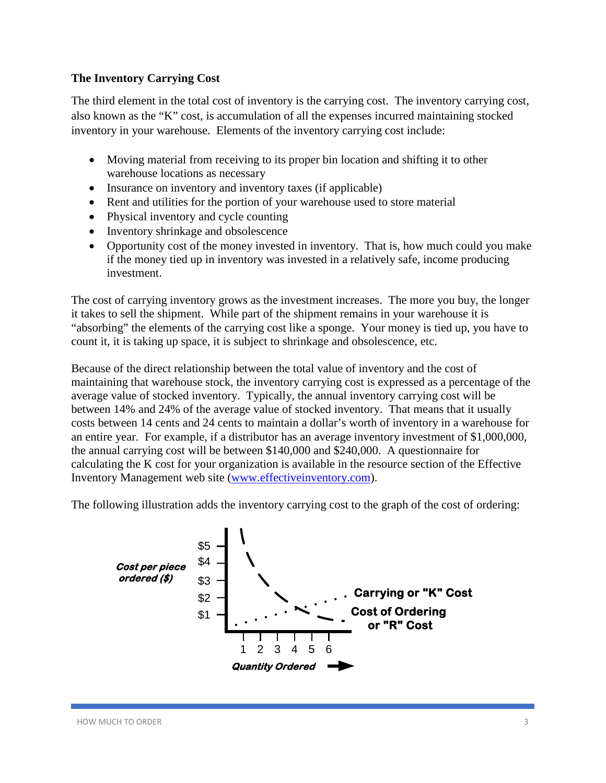# **The Inventory Carrying Cost**

The third element in the total cost of inventory is the carrying cost. The inventory carrying cost, also known as the "K" cost, is accumulation of all the expenses incurred maintaining stocked inventory in your warehouse. Elements of the inventory carrying cost include:

- Moving material from receiving to its proper bin location and shifting it to other warehouse locations as necessary
- Insurance on inventory and inventory taxes (if applicable)
- Rent and utilities for the portion of your warehouse used to store material
- Physical inventory and cycle counting
- Inventory shrinkage and obsolescence
- Opportunity cost of the money invested in inventory. That is, how much could you make if the money tied up in inventory was invested in a relatively safe, income producing investment.

The cost of carrying inventory grows as the investment increases. The more you buy, the longer it takes to sell the shipment. While part of the shipment remains in your warehouse it is "absorbing" the elements of the carrying cost like a sponge. Your money is tied up, you have to count it, it is taking up space, it is subject to shrinkage and obsolescence, etc.

Because of the direct relationship between the total value of inventory and the cost of maintaining that warehouse stock, the inventory carrying cost is expressed as a percentage of the average value of stocked inventory. Typically, the annual inventory carrying cost will be between 14% and 24% of the average value of stocked inventory. That means that it usually costs between 14 cents and 24 cents to maintain a dollar's worth of inventory in a warehouse for an entire year. For example, if a distributor has an average inventory investment of \$1,000,000, the annual carrying cost will be between \$140,000 and \$240,000. A questionnaire for calculating the K cost for your organization is available in the resource section of the Effective Inventory Management web site [\(www.effectiveinventory.com\)](http://www.effectiveinventory.com/).

The following illustration adds the inventory carrying cost to the graph of the cost of ordering:

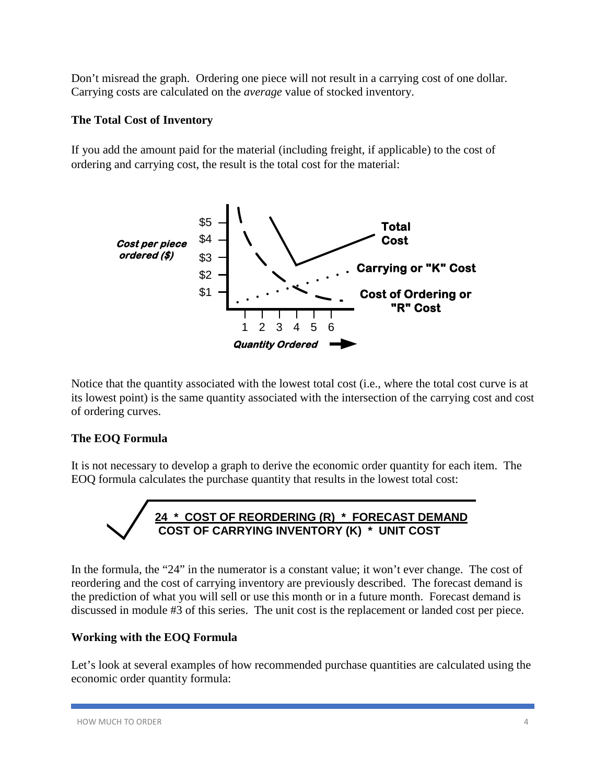Don't misread the graph. Ordering one piece will not result in a carrying cost of one dollar. Carrying costs are calculated on the *average* value of stocked inventory.

# **The Total Cost of Inventory**

If you add the amount paid for the material (including freight, if applicable) to the cost of ordering and carrying cost, the result is the total cost for the material:



Notice that the quantity associated with the lowest total cost (i.e., where the total cost curve is at its lowest point) is the same quantity associated with the intersection of the carrying cost and cost of ordering curves.

# **The EOQ Formula**

It is not necessary to develop a graph to derive the economic order quantity for each item. The EOQ formula calculates the purchase quantity that results in the lowest total cost:

**24 \* COST OF REORDERING (R) \* FORECAST DEMAND COST OF CARRYING INVENTORY (K) \* UNIT COST**

In the formula, the "24" in the numerator is a constant value; it won't ever change. The cost of reordering and the cost of carrying inventory are previously described. The forecast demand is the prediction of what you will sell or use this month or in a future month. Forecast demand is discussed in module #3 of this series. The unit cost is the replacement or landed cost per piece.

# **Working with the EOQ Formula**

Let's look at several examples of how recommended purchase quantities are calculated using the economic order quantity formula: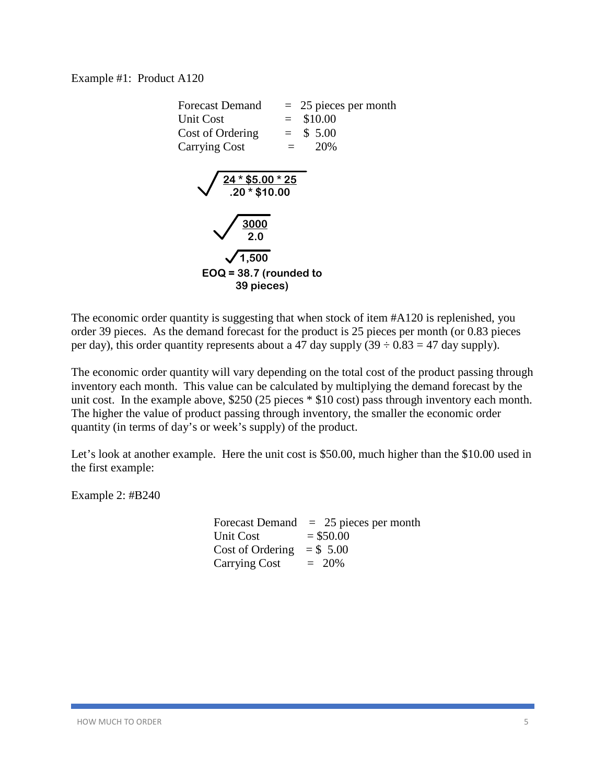Example #1: Product A120

| Forecast Demand                    | $= 25$ pieces per month |
|------------------------------------|-------------------------|
| Unit Cost                          | \$10.00<br>$=$ $-$      |
| Cost of Ordering                   | $=$ \$ 5.00             |
| <b>Carrying Cost</b>               | 20%                     |
| $24 * $5.00 * 25$<br>.20 * \$10.00 |                         |
|                                    |                         |
| $\frac{3000}{20}$                  |                         |
| 1,500                              |                         |
| $EOQ = 38.7$ (rounded to           |                         |
| 39 pieces)                         |                         |

The economic order quantity is suggesting that when stock of item #A120 is replenished, you order 39 pieces. As the demand forecast for the product is 25 pieces per month (or 0.83 pieces per day), this order quantity represents about a 47 day supply  $(39 \div 0.83 = 47$  day supply).

The economic order quantity will vary depending on the total cost of the product passing through inventory each month. This value can be calculated by multiplying the demand forecast by the unit cost. In the example above, \$250 (25 pieces \* \$10 cost) pass through inventory each month. The higher the value of product passing through inventory, the smaller the economic order quantity (in terms of day's or week's supply) of the product.

Let's look at another example. Here the unit cost is \$50.00, much higher than the \$10.00 used in the first example:

Example 2: #B240

Forecast Demand  $= 25$  pieces per month Unit  $Cost = $50.00$ Cost of Ordering  $= $, 5.00$ Carrying Cost  $= 20\%$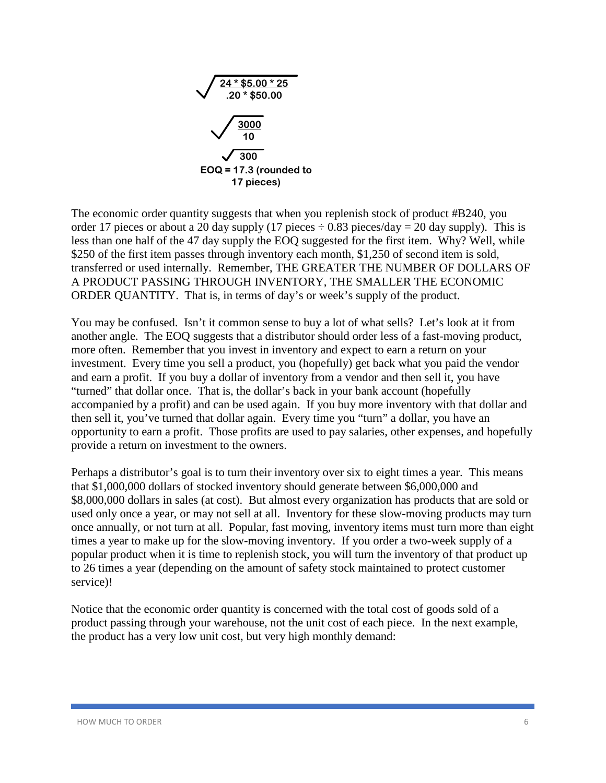

The economic order quantity suggests that when you replenish stock of product #B240, you order 17 pieces or about a 20 day supply (17 pieces  $\div$  0.83 pieces/day = 20 day supply). This is less than one half of the 47 day supply the EOQ suggested for the first item. Why? Well, while \$250 of the first item passes through inventory each month, \$1,250 of second item is sold, transferred or used internally. Remember, THE GREATER THE NUMBER OF DOLLARS OF A PRODUCT PASSING THROUGH INVENTORY, THE SMALLER THE ECONOMIC ORDER QUANTITY. That is, in terms of day's or week's supply of the product.

You may be confused. Isn't it common sense to buy a lot of what sells? Let's look at it from another angle. The EOQ suggests that a distributor should order less of a fast-moving product, more often. Remember that you invest in inventory and expect to earn a return on your investment. Every time you sell a product, you (hopefully) get back what you paid the vendor and earn a profit. If you buy a dollar of inventory from a vendor and then sell it, you have "turned" that dollar once. That is, the dollar's back in your bank account (hopefully accompanied by a profit) and can be used again. If you buy more inventory with that dollar and then sell it, you've turned that dollar again. Every time you "turn" a dollar, you have an opportunity to earn a profit. Those profits are used to pay salaries, other expenses, and hopefully provide a return on investment to the owners.

Perhaps a distributor's goal is to turn their inventory over six to eight times a year. This means that \$1,000,000 dollars of stocked inventory should generate between \$6,000,000 and \$8,000,000 dollars in sales (at cost). But almost every organization has products that are sold or used only once a year, or may not sell at all. Inventory for these slow-moving products may turn once annually, or not turn at all. Popular, fast moving, inventory items must turn more than eight times a year to make up for the slow-moving inventory. If you order a two-week supply of a popular product when it is time to replenish stock, you will turn the inventory of that product up to 26 times a year (depending on the amount of safety stock maintained to protect customer service)!

Notice that the economic order quantity is concerned with the total cost of goods sold of a product passing through your warehouse, not the unit cost of each piece. In the next example, the product has a very low unit cost, but very high monthly demand: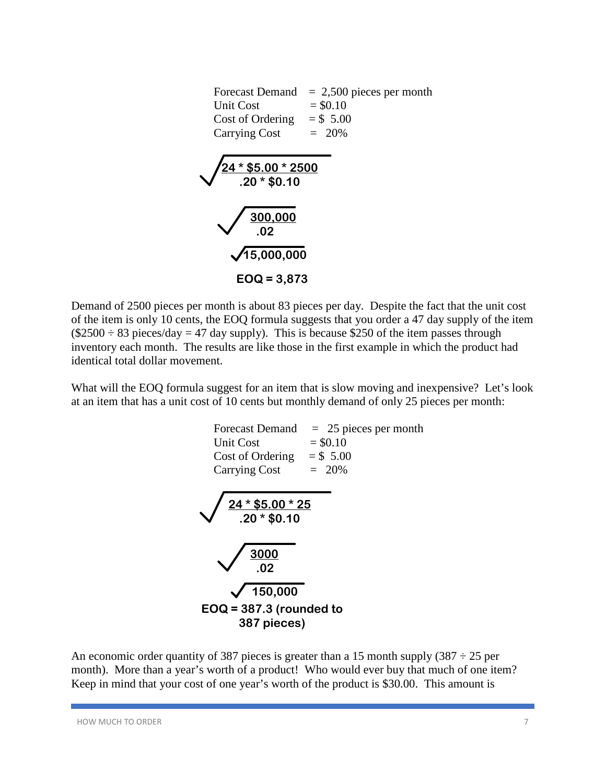

 Demand of 2500 pieces per month is about 83 pieces per day. Despite the fact that the unit cost of the item is only 10 cents, the EOQ formula suggests that you order a 47 day supply of the item  $(\$2500 \div 83$  pieces/day = 47 day supply). This is because \$250 of the item passes through inventory each month. The results are like those in the first example in which the product had identical total dollar movement.

What will the EOQ formula suggest for an item that is slow moving and inexpensive? Let's look at an item that has a unit cost of 10 cents but monthly demand of only 25 pieces per month:



An economic order quantity of 387 pieces is greater than a 15 month supply (387  $\div$  25 per month). More than a year's worth of a product! Who would ever buy that much of one item? Keep in mind that your cost of one year's worth of the product is \$30.00. This amount is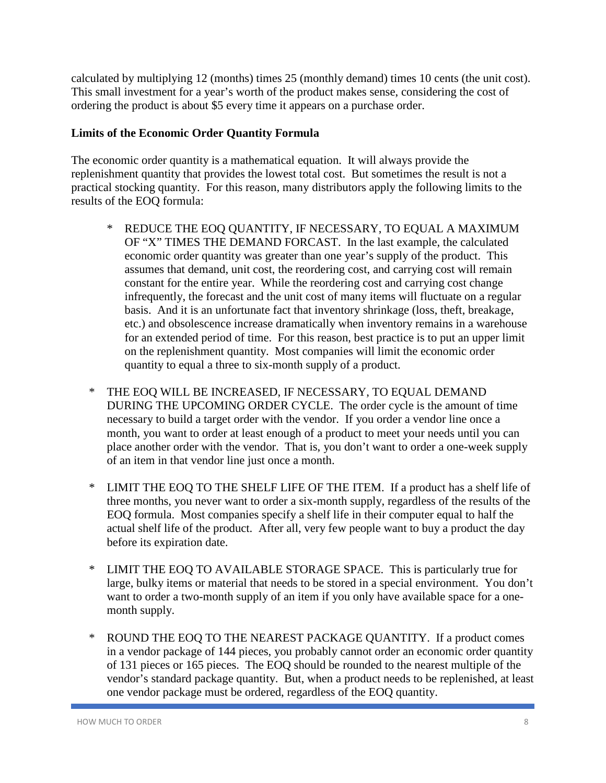calculated by multiplying 12 (months) times 25 (monthly demand) times 10 cents (the unit cost). This small investment for a year's worth of the product makes sense, considering the cost of ordering the product is about \$5 every time it appears on a purchase order.

#### **Limits of the Economic Order Quantity Formula**

The economic order quantity is a mathematical equation. It will always provide the replenishment quantity that provides the lowest total cost. But sometimes the result is not a practical stocking quantity. For this reason, many distributors apply the following limits to the results of the EOQ formula:

- \* REDUCE THE EOQ QUANTITY, IF NECESSARY, TO EQUAL A MAXIMUM OF "X" TIMES THE DEMAND FORCAST. In the last example, the calculated economic order quantity was greater than one year's supply of the product. This assumes that demand, unit cost, the reordering cost, and carrying cost will remain constant for the entire year. While the reordering cost and carrying cost change infrequently, the forecast and the unit cost of many items will fluctuate on a regular basis. And it is an unfortunate fact that inventory shrinkage (loss, theft, breakage, etc.) and obsolescence increase dramatically when inventory remains in a warehouse for an extended period of time. For this reason, best practice is to put an upper limit on the replenishment quantity. Most companies will limit the economic order quantity to equal a three to six-month supply of a product.
- \* THE EOQ WILL BE INCREASED, IF NECESSARY, TO EQUAL DEMAND DURING THE UPCOMING ORDER CYCLE. The order cycle is the amount of time necessary to build a target order with the vendor. If you order a vendor line once a month, you want to order at least enough of a product to meet your needs until you can place another order with the vendor. That is, you don't want to order a one-week supply of an item in that vendor line just once a month.
- \* LIMIT THE EOQ TO THE SHELF LIFE OF THE ITEM. If a product has a shelf life of three months, you never want to order a six-month supply, regardless of the results of the EOQ formula. Most companies specify a shelf life in their computer equal to half the actual shelf life of the product. After all, very few people want to buy a product the day before its expiration date.
- \* LIMIT THE EOQ TO AVAILABLE STORAGE SPACE. This is particularly true for large, bulky items or material that needs to be stored in a special environment. You don't want to order a two-month supply of an item if you only have available space for a onemonth supply.
- \* ROUND THE EOQ TO THE NEAREST PACKAGE QUANTITY. If a product comes in a vendor package of 144 pieces, you probably cannot order an economic order quantity of 131 pieces or 165 pieces. The EOQ should be rounded to the nearest multiple of the vendor's standard package quantity. But, when a product needs to be replenished, at least one vendor package must be ordered, regardless of the EOQ quantity.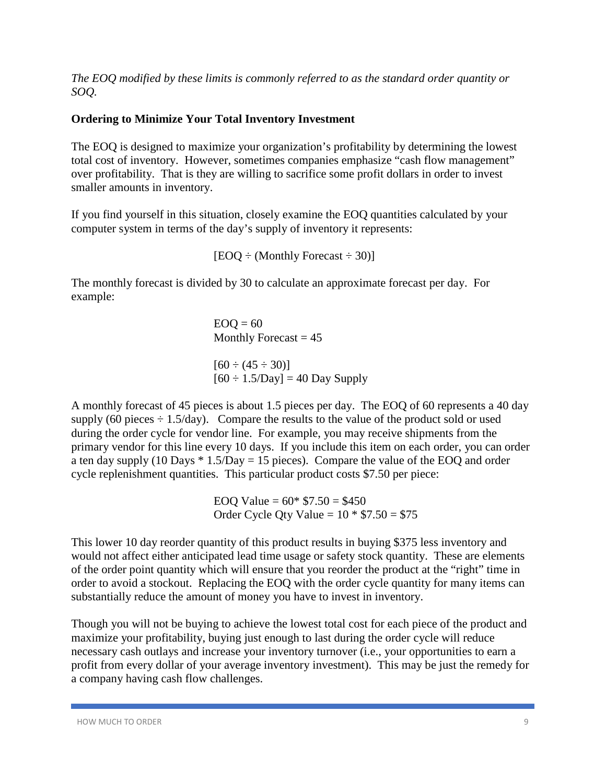*The EOQ modified by these limits is commonly referred to as the standard order quantity or SOQ.*

#### **Ordering to Minimize Your Total Inventory Investment**

The EOQ is designed to maximize your organization's profitability by determining the lowest total cost of inventory. However, sometimes companies emphasize "cash flow management" over profitability. That is they are willing to sacrifice some profit dollars in order to invest smaller amounts in inventory.

If you find yourself in this situation, closely examine the EOQ quantities calculated by your computer system in terms of the day's supply of inventory it represents:

 $[EOQ \div (Monthly Forest \div 30)]$ 

The monthly forecast is divided by 30 to calculate an approximate forecast per day. For example:

> $EOO = 60$ Monthly Forecast  $= 45$

 $[60 \div (45 \div 30)]$  $[60 \div 1.5/\text{Day}] = 40 \text{ Day}$  Supply

A monthly forecast of 45 pieces is about 1.5 pieces per day. The EOQ of 60 represents a 40 day supply (60 pieces  $\div$  1.5/day). Compare the results to the value of the product sold or used during the order cycle for vendor line. For example, you may receive shipments from the primary vendor for this line every 10 days. If you include this item on each order, you can order a ten day supply (10 Days  $*$  1.5/Day = 15 pieces). Compare the value of the EOQ and order cycle replenishment quantities. This particular product costs \$7.50 per piece:

> EOO Value =  $60* $7.50 = $450$ Order Cycle Qty Value =  $10 * $7.50 = $75$

This lower 10 day reorder quantity of this product results in buying \$375 less inventory and would not affect either anticipated lead time usage or safety stock quantity. These are elements of the order point quantity which will ensure that you reorder the product at the "right" time in order to avoid a stockout. Replacing the EOQ with the order cycle quantity for many items can substantially reduce the amount of money you have to invest in inventory.

Though you will not be buying to achieve the lowest total cost for each piece of the product and maximize your profitability, buying just enough to last during the order cycle will reduce necessary cash outlays and increase your inventory turnover (i.e., your opportunities to earn a profit from every dollar of your average inventory investment). This may be just the remedy for a company having cash flow challenges.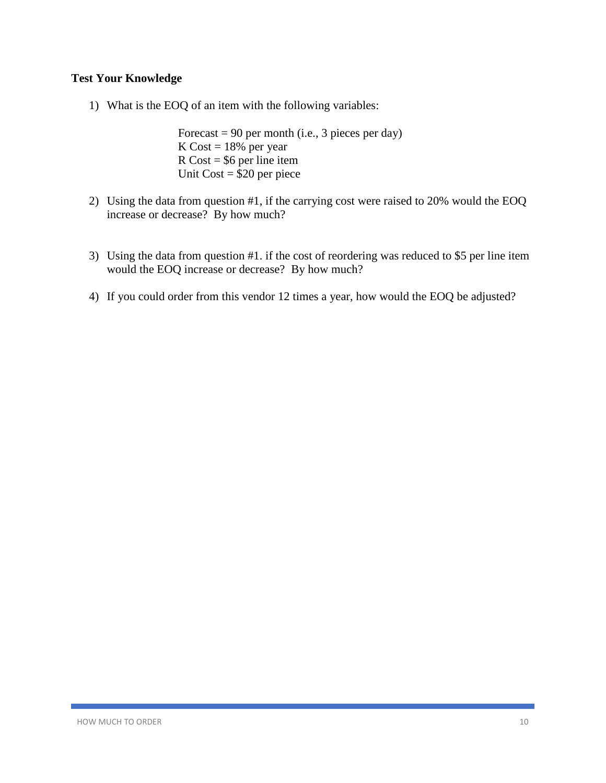# **Test Your Knowledge**

1) What is the EOQ of an item with the following variables:

Forecast  $= 90$  per month (i.e., 3 pieces per day) K Cost  $= 18\%$  per year  $R \text{ Cost} = $6 \text{ per line item}$ Unit Cost = \$20 per piece

- 2) Using the data from question #1, if the carrying cost were raised to 20% would the EOQ increase or decrease? By how much?
- 3) Using the data from question #1. if the cost of reordering was reduced to \$5 per line item would the EOQ increase or decrease? By how much?
- 4) If you could order from this vendor 12 times a year, how would the EOQ be adjusted?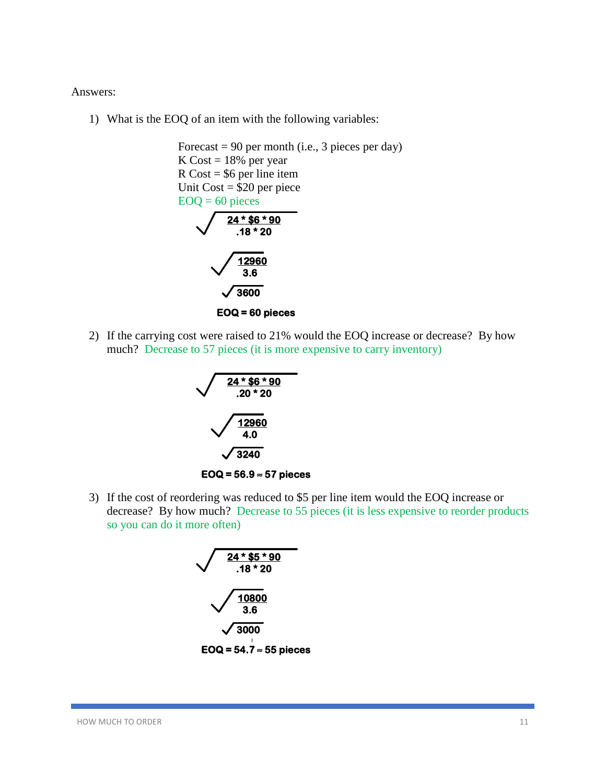Answers:

1) What is the EOQ of an item with the following variables:

Forecast  $= 90$  per month (i.e., 3 pieces per day) K Cost  $= 18\%$  per year  $R \text{Cost} = $6 \text{ per line item}$ Unit  $Cost = $20$  per piece  $EOQ = 60$  pieces **24 \* \$6 \* 90 .18 \* 20 12960 3.6 3600 EOQ = 60 pieces**

2) If the carrying cost were raised to 21% would the EOQ increase or decrease? By how much? Decrease to 57 pieces (it is more expensive to carry inventory)



3) If the cost of reordering was reduced to \$5 per line item would the EOQ increase or decrease? By how much? Decrease to 55 pieces (it is less expensive to reorder products so you can do it more often)